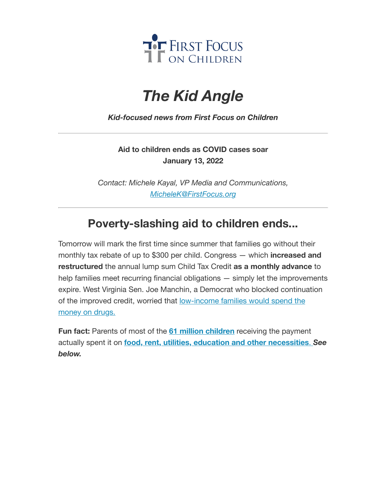

## *The Kid Angle*

*Kid-focused news from First Focus on Children*

**Aid to children ends as COVID cases soar January 13, 2022**

*Contact: Michele Kayal, VP Media and Communications, [MicheleK@FirstFocus.org](mailto:MicheleK@firstfocus.org)*

## **Poverty-slashing aid to children ends...**

Tomorrow will mark the first time since summer that families go without their monthly tax rebate of up to \$300 per child. Congress — which **increased and restructured** the annual lump sum Child Tax Credit **as a monthly advance** to help families meet recurring financial obligations — simply let the improvements expire. West Virginia Sen. Joe Manchin, a Democrat who blocked continuation of the improved credit, worried that low-income [families would](https://action.campaignforchildren.org/r?u=GmrkqIvTVM5Gw19P8OEWnqPAtIHhAMxU89vlTUXNYDYsfblOZVAwao14BhB4kTZ7EHkvVxNGSMfHgX-na-LA_G00LrowKl9mr-stzXyrlEuMVCoOA8OVwnid3RsmX7l9xgBM4x0Mp8rgV4UcBLeCzirYvYsqEO84MeLiTTI-zdE&e=6d50ef9bac605c372bd31a2e7c9cacfd&utm_source=ffcc&utm_medium=email&utm_campaign=_ctcexpire_covid_records&n=2&test_email=1) spend the money on drugs.

**Fun fact:** Parents of most of the **61 million [children](https://action.campaignforchildren.org/r?u=dEEDYEUGb6ZYO9h-oDOIAqAMaM2Waw7BXBOqBp0DZakdyyHuXubzAO_vWOPA3b0bpkkAZmq7lGYYNffuqf6hKw&e=6d50ef9bac605c372bd31a2e7c9cacfd&utm_source=ffcc&utm_medium=email&utm_campaign=_ctcexpire_covid_records&n=3&test_email=1)** receiving the payment actually spent it on **food, rent, utilities, education and other [necessities](https://action.campaignforchildren.org/r?u=4zJM-Y4ASJI_R6JF-F2ow2nIXwsE18MoPuqW8P48HrZTzZ1KQPiJRgtL2ZnTgRUT43MZ3Q0Jz76ObTe6mbGuMHFmeoadjARpp7WhH8LiYMI6Mz04TLIALwPpOrI8PcWw1eyBLm123sK-JbJ6I7vKwpAkHevJLYjDO_NXCnd8itk&e=6d50ef9bac605c372bd31a2e7c9cacfd&utm_source=ffcc&utm_medium=email&utm_campaign=_ctcexpire_covid_records&n=4&test_email=1)**. *See below.*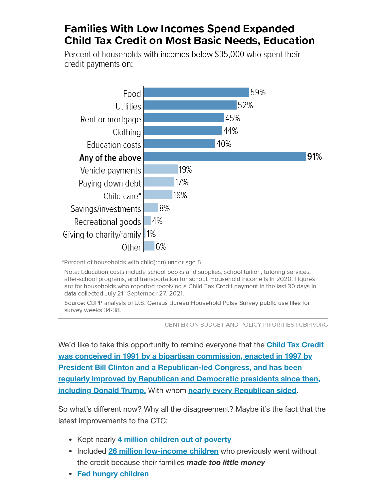## **Families With Low Incomes Spend Expanded Child Tax Credit on Most Basic Needs, Education**

Percent of households with incomes below \$35,000 who spent their credit payments on:



\*Percent of households with child(ren) under age 5.

Note: Education costs include school books and supplies, school tuition, tutoring services, after-school programs, and transportation for school. Household income is in 2020. Figures are for households who reported receiving a Child Tax Credit payment in the last 30 days in data collected July 21-September 27, 2021.

Source: CBPP analysis of U.S. Census Bureau Household Pulse Survey public use files for survey weeks 34-38.

CENTER ON BUDGET AND POLICY PRIORITIES I CBPP.ORG

We'd like to take [this opportunity to](https://action.campaignforchildren.org/r?u=q_Q7S9K4bZzhbA5vpwxnSfrtR7AQDTbsj79Vst8wHUNvDXTWk9hLH0OFiAj07zWSqI-6DK1dBDBarZ_m5vELtZSDqNzy82afgVVpIZpUksnI7GcrZf2uE3gGeJ2_bTwoOoJ0s5X749hkUf1zU1taLQ&e=6d50ef9bac605c372bd31a2e7c9cacfd&utm_source=ffcc&utm_medium=email&utm_campaign=_ctcexpire_covid_records&n=5&test_email=1) remind everyone that the **Child Tax Credit was conceived in 1991 by a bipartisan commission, enacted in 1997 by President Bill Clinton and a Republican-led Congress, and has been regularly improved by Republican and Democratic presidents since then, including Donald Trump.** With whom **nearly every [Republican](https://action.campaignforchildren.org/r?u=UKtnSrZJiO5TrtF1JQ_1B5S1Os739w4UzC3xHPAYzy_Y119-9rXk2P-jxSn--ecX&e=6d50ef9bac605c372bd31a2e7c9cacfd&utm_source=ffcc&utm_medium=email&utm_campaign=_ctcexpire_covid_records&n=6&test_email=1) sided.**

So what's different now? Why all the disagreement? Maybe it's the fact that the latest improvements to the CTC:

- Kept nearly **4 million [children](https://action.campaignforchildren.org/r?u=UmPwcm28_uDg6gTj_jN0OFQGFP1Darjs7xjyaWV7fPq31gIxt7SXaWsiMGDEAnqc2Pqj1LC59e08udMt5Y1GxWab79j_JpOHfDnWJ-b0MMfW9gu43zdbTAAtOgaRzjgT&e=6d50ef9bac605c372bd31a2e7c9cacfd&utm_source=ffcc&utm_medium=email&utm_campaign=_ctcexpire_covid_records&n=7&test_email=1) out of poverty**
- **Included 26 million [low-income](https://action.campaignforchildren.org/r?u=dEEDYEUGb6ZYO9h-oDOIAqAMaM2Waw7BXBOqBp0DZal15I8MvjVfSfD37921houWbqAWk-VJOhPfih2CNR8FH0267NP29G3q0j3l7KVlcARDSsx2nr3btCBtapD86u_--ChH_amISyjhZZZsVKhMaByWsUJ_Fqc62qSRJvwK16hcFGDsuBY3bdj7XgSIl999CJB9pH_8aUsfFvjWaaOCUOrVDe9XSVDXrP7ftgPzsEV6AYXaDRdwNECsIfHZjs2ZeVGVjir-lETW2JXLn-i8M2uWw5un7Dt1qxDmKDlBAkw&e=6d50ef9bac605c372bd31a2e7c9cacfd&utm_source=ffcc&utm_medium=email&utm_campaign=_ctcexpire_covid_records&n=8&test_email=1) children** who previously went without the credit because their families *made too little money*
- **Fed hungry [children](https://action.campaignforchildren.org/r?u=jpbp5xy0rnfXWggeHXGdt57bh5XSKmyWduu-wGRkHXIFaNxZxWxUNJ3FG3W-BIQclq6_QJ6wpfWS2cVuZKrK-30vgMjrGZqw7xlQFeFwDU_K8i2hqJbYQF92wuhBWTUW9vs2Zpfts4D_gFYDi8M3UsVvQIcbLvhgQY5YTYEEiHI&e=6d50ef9bac605c372bd31a2e7c9cacfd&utm_source=ffcc&utm_medium=email&utm_campaign=_ctcexpire_covid_records&n=9&test_email=1)**